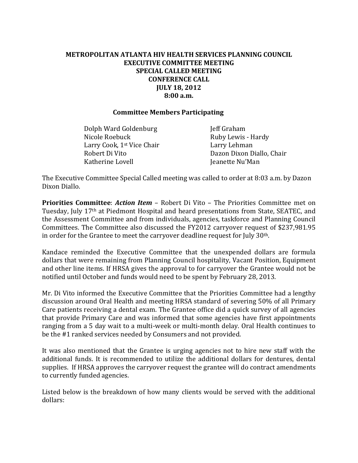## **METROPOLITAN ATLANTA HIV HEALTH SERVICES PLANNING COUNCIL EXECUTIVE COMMITTEE MEETING SPECIAL CALLED MEETING CONFERENCE CALL JULY 18, 2012 8:00 a.m.**

## **Committee Members Participating**

Dolph Ward Goldenburg **Jeff Graham** Nicole Roebuck **Ruby Lewis - Hardy** Larry Cook, 1<sup>st</sup> Vice Chair **Larry Lehman** Katherine Lovell **Internal Communist Communist Communist Communist Communist Communist Communist Communist Communist Communist Communist Communist Communist Communist Communist Communist Communist Communist Communist Commu** 

Robert Di Vito **Dazon Dixon Diallo, Chair** 

The Executive Committee Special Called meeting was called to order at 8:03 a.m. by Dazon Dixon Diallo.

**Priorities Committee**: *Action Item* – Robert Di Vito – The Priorities Committee met on Tuesday, July 17th at Piedmont Hospital and heard presentations from State, SEATEC, and the Assessment Committee and from individuals, agencies, taskforce and Planning Council Committees. The Committee also discussed the FY2012 carryover request of \$237,981.95 in order for the Grantee to meet the carryover deadline request for July 30th.

Kandace reminded the Executive Committee that the unexpended dollars are formula dollars that were remaining from Planning Council hospitality, Vacant Position, Equipment and other line items. If HRSA gives the approval to for carryover the Grantee would not be notified until October and funds would need to be spent by February 28, 2013.

Mr. Di Vito informed the Executive Committee that the Priorities Committee had a lengthy discussion around Oral Health and meeting HRSA standard of severing 50% of all Primary Care patients receiving a dental exam. The Grantee office did a quick survey of all agencies that provide Primary Care and was informed that some agencies have first appointments ranging from a 5 day wait to a multi-week or multi-month delay. Oral Health continues to be the #1 ranked services needed by Consumers and not provided.

It was also mentioned that the Grantee is urging agencies not to hire new staff with the additional funds. It is recommended to utilize the additional dollars for dentures, dental supplies. If HRSA approves the carryover request the grantee will do contract amendments to currently funded agencies.

Listed below is the breakdown of how many clients would be served with the additional dollars: